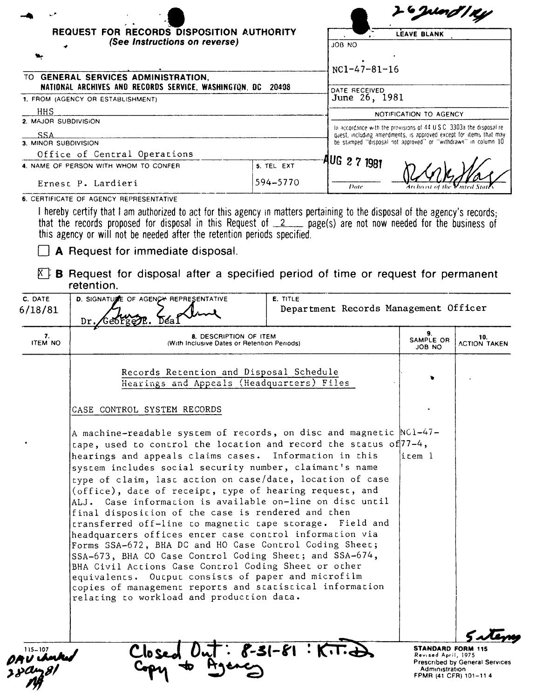|                                                      |                                                                                                                                                                                                                                                                                                                                                |                                                                                                                                      |                                                                       | <b>G</b> und 1 Ky         |                            |  |
|------------------------------------------------------|------------------------------------------------------------------------------------------------------------------------------------------------------------------------------------------------------------------------------------------------------------------------------------------------------------------------------------------------|--------------------------------------------------------------------------------------------------------------------------------------|-----------------------------------------------------------------------|---------------------------|----------------------------|--|
| REQUEST FOR RECORDS DISPOSITION AUTHORITY            |                                                                                                                                                                                                                                                                                                                                                | <b>LEAVE BLANK</b>                                                                                                                   |                                                                       |                           |                            |  |
|                                                      | (See Instructions on reverse)                                                                                                                                                                                                                                                                                                                  |                                                                                                                                      | <b>JOB NO</b>                                                         |                           |                            |  |
|                                                      |                                                                                                                                                                                                                                                                                                                                                |                                                                                                                                      | $NC1 - 47 - 81 - 16$                                                  |                           |                            |  |
|                                                      | TO GENERAL SERVICES ADMINISTRATION,<br>NATIONAL ARCHIVES AND RECORDS SERVICE, WASHINGTON, DC 20408                                                                                                                                                                                                                                             | DATE RECEIVED                                                                                                                        |                                                                       |                           |                            |  |
| 1. FROM (AGENCY OR ESTABLISHMENT)                    |                                                                                                                                                                                                                                                                                                                                                |                                                                                                                                      | June 26, 1981                                                         |                           |                            |  |
| HHS                                                  |                                                                                                                                                                                                                                                                                                                                                | NOTIFICATION TO AGENCY                                                                                                               |                                                                       |                           |                            |  |
| 2. MAJOR SUBDIVISION                                 |                                                                                                                                                                                                                                                                                                                                                |                                                                                                                                      | To accordance with the provisions of 44 U.S.C. 3303a the disposal re- |                           |                            |  |
| SSA                                                  |                                                                                                                                                                                                                                                                                                                                                | quest, including amendments, is approved except for items that may<br>be stamped "disposal not approved" or "withdrawn" in column 10 |                                                                       |                           |                            |  |
| 3. MINOR SUBDIVISION<br>Office of Central Operations |                                                                                                                                                                                                                                                                                                                                                |                                                                                                                                      |                                                                       |                           |                            |  |
| 4. NAME OF PERSON WITH WHOM TO CONFER                |                                                                                                                                                                                                                                                                                                                                                | 5. TEL EXT                                                                                                                           |                                                                       | AUG 2 7 1981              |                            |  |
| Ernest P. Lardieri                                   |                                                                                                                                                                                                                                                                                                                                                | 594-5770                                                                                                                             | Date                                                                  |                           |                            |  |
|                                                      | that the records proposed for disposal in this Request of $2$ page(s) are not now needed for the business of<br>this agency or will not be needed after the retention periods specified.<br>A Request for immediate disposal.<br>$\mathbb{K}^+$ B Request for disposal after a specified period of time or request for permanent<br>retention. |                                                                                                                                      |                                                                       |                           |                            |  |
| C. DATE                                              | D. SIGNATURE OF AGENCY REPRESENTATIVE                                                                                                                                                                                                                                                                                                          | E. TITLE                                                                                                                             |                                                                       |                           |                            |  |
| 6/18/81                                              | Dr.                                                                                                                                                                                                                                                                                                                                            |                                                                                                                                      | Department Records Management Officer                                 |                           |                            |  |
| 7.<br><b>ITEM NO</b>                                 | 8. DESCRIPTION OF ITEM<br>(With Inclusive Dates or Retention Periods)                                                                                                                                                                                                                                                                          |                                                                                                                                      |                                                                       | 9.<br>SAMPLE OR<br>JOB NO | 10.<br><b>ACTION TAKEN</b> |  |
|                                                      | Records Retention and Disposal Schedule<br>Hearings and Appeals (Headquarters) Files                                                                                                                                                                                                                                                           |                                                                                                                                      |                                                                       |                           |                            |  |
|                                                      | CASE CONTROL SYSTEM RECORDS                                                                                                                                                                                                                                                                                                                    |                                                                                                                                      |                                                                       |                           |                            |  |
|                                                      | A machine-readable system of records, on disc and magnetic NC1-47-<br>tape, used to control the location and record the status of 77-4,                                                                                                                                                                                                        |                                                                                                                                      |                                                                       |                           |                            |  |

tape, used to control the location and record the status of  $77-4,$ hearings and appeals claims cases. Information in this  $\begin{array}{ccc} \text{item 1} \end{array}$ system includes social security number, claimant's name type of claim, last action on case/date, location of case (office), date of receipt, type of hearing request, and ALJ. Case information is available on-line on disc until final disposicion of the case is rendered and then transferred off-line to magnetic tape storage. Field and headquarters offices encer case control information via Forms SSA-672, BHA DC and HO Case Control Coding Sheet; SSA-673, BHA CO Case Control Coding Sheet; and SSA-674, BHA Civil Actions Case Control Coding Sheet or other equivalents. Output consists of paper and microfilm copies of managemenc reports and statiscical information relating to workload and production data.

 $-31-81:K$ 

 $5 - 107$ 

**Clo**

STANDARD FORM 115 Revised April, 1975 Prescribed by General Services Administration FPMR (41 CFR) 101-11 4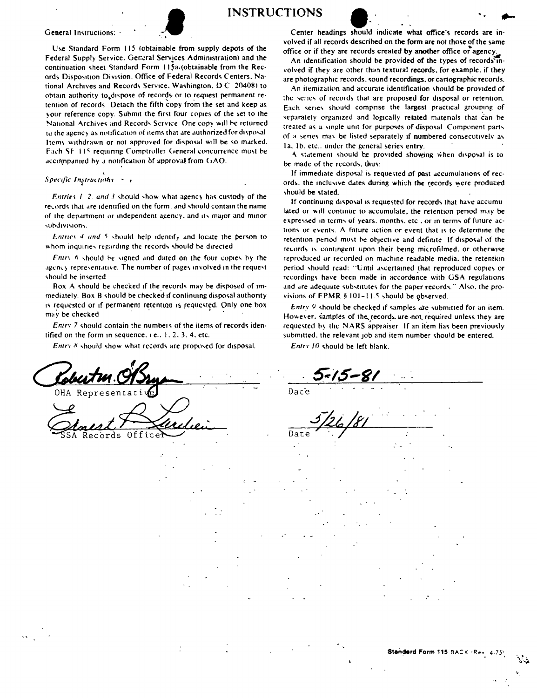



Use Standard Form 115 (obtainable from supply depots of the Federal Supply Service. Getteral Services Administration) and the continuation sheet Standard Form 115a (obtainable from the Records Disposition Division. Office of Federal Records Centers, National Archives and Records Service, Washington, D.C. 20408) to obtain authority to dispose of records or to request permanent retention of records. Detach the fifth copy from the set and keep as your reference copy. Submit the first four copies of the set to the National Archives and Records Service. One copy will be returned to the agency as notification of items that are authorized for disposal Items withdrawn or not approved for disposal will be so marked. Fach SF 115 requiring Comptroller General concurrence must be accompanied by a notification of approval from GAO.

## Specific Instructions  $\sim$  .

Entries 1-2, and 3 should show what agency has custody of the records that are identified on the form, and should contain the name of the department or independent agency, and its major and minor subdivisions.

Entries 4 and 5 should help identify and locate the person to whom inquiries regarding the records should be directed

Entry 6 should be signed and dated on the four copies by the agency representative. The number of pages involved in the request should be inserted

Box A should be checked if the records may be disposed of immediately. Box B should be checked if continuing disposal authority is requested or if permanent retention is requested. Only one box may be checked

Entry 7 should contain the numbers of the items of records identified on the form in sequence, i.e., 1, 2, 3, 4, etc.

Entry 8 should show what records are proposed for disposal.

OHA Representati

Offic Records

**INSTRUCTIONS** 

Center headings should indicate what office's records are involved if all records described on the form are not those of the same office or if they are records created by another office or agency.

An identification should be provided of the types of records involved if they are other than textural records, for example, if they are photographic records, sound recordings, or cartographic records.

An itemization and accurate identification should be provided of the series of records that are proposed for disposal or retention. Each series should comprise the largest practical grouping of separately organized and logically related materials that can be treated as a single unit for purposes of disposal. Component parts of a senes may be listed separately if numbered consecutively as 1a. 1b, etc., under the general series entry.

A statement should be provided showing when disposal is to be made of the records, thus:

If immediate disposal is requested of past accumulations of records, the inclusive dates during which the records were produced should be stated.

If continuing disposal is requested for records that have accumulated or will continue to accumulate, the retention period may be expressed in terms of years, months, etc., or in terms of future actions or events. A future action or event that is to determine the retention period must be objective and definite. If disposal of the records is contingent upon their being microfilmed, or otherwise reproduced or recorded on machine readable media, the retention period should read: "Until ascertained that reproduced comes or recordings have been made in accordance with GSA regulations and are adequate substitutes for the paper records," Also, the provisions of FPMR § 101-11.5 should be observed.

Entry 9 should be checked if samples are submitted for an item. However, samples of the records are not required unless they are requested by the NARS appraiser. If an item has been previously submitted, the relevant job and item number should be entered.

Entry 10 should be left blank.

Dace

Date

Standard Form 115 BACK /Rev